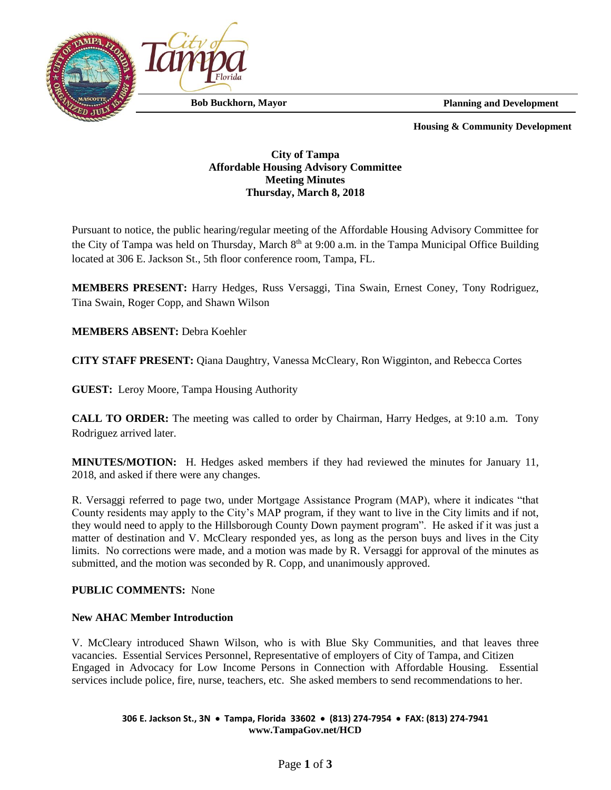

 **Planning and Development**

 **Housing & Community Development**

# **City of Tampa Affordable Housing Advisory Committee Meeting Minutes Thursday, March 8, 2018**

Pursuant to notice, the public hearing/regular meeting of the Affordable Housing Advisory Committee for the City of Tampa was held on Thursday, March 8<sup>th</sup> at 9:00 a.m. in the Tampa Municipal Office Building located at 306 E. Jackson St., 5th floor conference room, Tampa, FL.

**MEMBERS PRESENT:** Harry Hedges, Russ Versaggi, Tina Swain, Ernest Coney, Tony Rodriguez, Tina Swain, Roger Copp, and Shawn Wilson

**MEMBERS ABSENT:** Debra Koehler

**CITY STAFF PRESENT:** Qiana Daughtry, Vanessa McCleary, Ron Wigginton, and Rebecca Cortes

**GUEST:** Leroy Moore, Tampa Housing Authority

**CALL TO ORDER:** The meeting was called to order by Chairman, Harry Hedges, at 9:10 a.m. Tony Rodriguez arrived later.

**MINUTES/MOTION:** H. Hedges asked members if they had reviewed the minutes for January 11, 2018, and asked if there were any changes.

R. Versaggi referred to page two, under Mortgage Assistance Program (MAP), where it indicates "that County residents may apply to the City's MAP program, if they want to live in the City limits and if not, they would need to apply to the Hillsborough County Down payment program". He asked if it was just a matter of destination and V. McCleary responded yes, as long as the person buys and lives in the City limits. No corrections were made, and a motion was made by R. Versaggi for approval of the minutes as submitted, and the motion was seconded by R. Copp, and unanimously approved.

# **PUBLIC COMMENTS:** None

# **New AHAC Member Introduction**

V. McCleary introduced Shawn Wilson, who is with Blue Sky Communities, and that leaves three vacancies. Essential Services Personnel, Representative of employers of City of Tampa, and Citizen Engaged in Advocacy for Low Income Persons in Connection with Affordable Housing. Essential services include police, fire, nurse, teachers, etc. She asked members to send recommendations to her.

### **306 E. Jackson St., 3N Tampa, Florida 33602 (813) 274-7954 FAX: (813) 274-7941 www.TampaGov.net/HCD**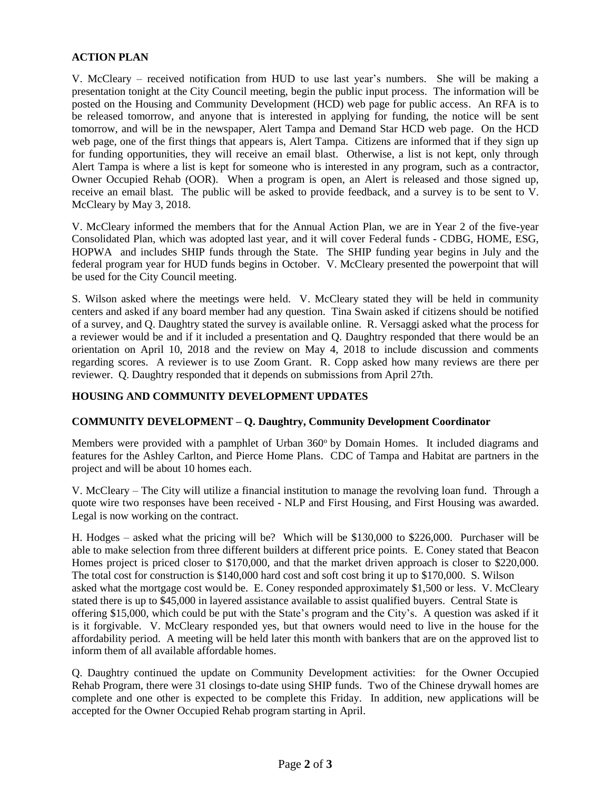# **ACTION PLAN**

V. McCleary – received notification from HUD to use last year's numbers. She will be making a presentation tonight at the City Council meeting, begin the public input process. The information will be posted on the Housing and Community Development (HCD) web page for public access. An RFA is to be released tomorrow, and anyone that is interested in applying for funding, the notice will be sent tomorrow, and will be in the newspaper, Alert Tampa and Demand Star HCD web page. On the HCD web page, one of the first things that appears is, Alert Tampa. Citizens are informed that if they sign up for funding opportunities, they will receive an email blast. Otherwise, a list is not kept, only through Alert Tampa is where a list is kept for someone who is interested in any program, such as a contractor, Owner Occupied Rehab (OOR). When a program is open, an Alert is released and those signed up, receive an email blast. The public will be asked to provide feedback, and a survey is to be sent to V. McCleary by May 3, 2018.

V. McCleary informed the members that for the Annual Action Plan, we are in Year 2 of the five-year Consolidated Plan, which was adopted last year, and it will cover Federal funds - CDBG, HOME, ESG, HOPWA and includes SHIP funds through the State. The SHIP funding year begins in July and the federal program year for HUD funds begins in October. V. McCleary presented the powerpoint that will be used for the City Council meeting.

S. Wilson asked where the meetings were held. V. McCleary stated they will be held in community centers and asked if any board member had any question. Tina Swain asked if citizens should be notified of a survey, and Q. Daughtry stated the survey is available online. R. Versaggi asked what the process for a reviewer would be and if it included a presentation and Q. Daughtry responded that there would be an orientation on April 10, 2018 and the review on May 4, 2018 to include discussion and comments regarding scores. A reviewer is to use Zoom Grant. R. Copp asked how many reviews are there per reviewer. Q. Daughtry responded that it depends on submissions from April 27th.

### **HOUSING AND COMMUNITY DEVELOPMENT UPDATES**

# **COMMUNITY DEVELOPMENT – Q. Daughtry, Community Development Coordinator**

Members were provided with a pamphlet of Urban 360° by Domain Homes. It included diagrams and features for the Ashley Carlton, and Pierce Home Plans. CDC of Tampa and Habitat are partners in the project and will be about 10 homes each.

V. McCleary – The City will utilize a financial institution to manage the revolving loan fund. Through a quote wire two responses have been received - NLP and First Housing, and First Housing was awarded. Legal is now working on the contract.

H. Hodges – asked what the pricing will be? Which will be \$130,000 to \$226,000. Purchaser will be able to make selection from three different builders at different price points. E. Coney stated that Beacon Homes project is priced closer to \$170,000, and that the market driven approach is closer to \$220,000. The total cost for construction is \$140,000 hard cost and soft cost bring it up to \$170,000. S. Wilson asked what the mortgage cost would be. E. Coney responded approximately \$1,500 or less. V. McCleary stated there is up to \$45,000 in layered assistance available to assist qualified buyers. Central State is offering \$15,000, which could be put with the State's program and the City's. A question was asked if it is it forgivable. V. McCleary responded yes, but that owners would need to live in the house for the affordability period. A meeting will be held later this month with bankers that are on the approved list to inform them of all available affordable homes.

Q. Daughtry continued the update on Community Development activities: for the Owner Occupied Rehab Program, there were 31 closings to-date using SHIP funds. Two of the Chinese drywall homes are complete and one other is expected to be complete this Friday. In addition, new applications will be accepted for the Owner Occupied Rehab program starting in April.